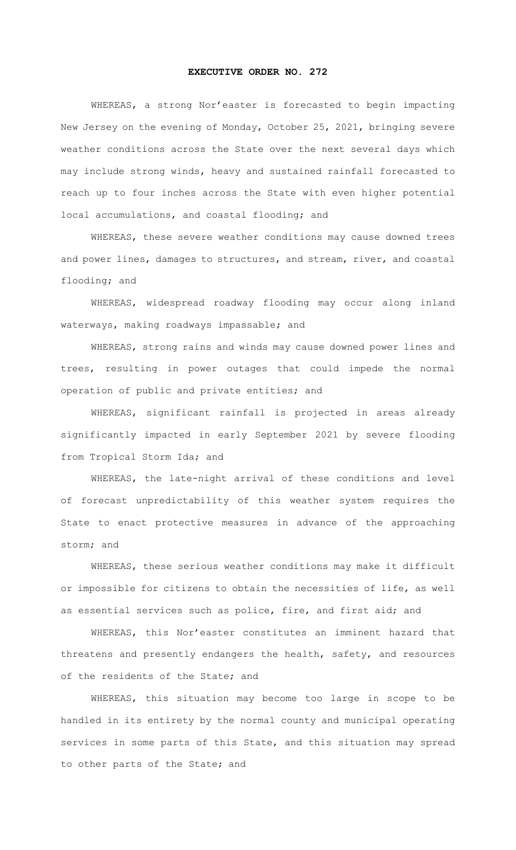## **EXECUTIVE ORDER NO. 272**

WHEREAS, a strong Nor'easter is forecasted to begin impacting New Jersey on the evening of Monday, October 25, 2021, bringing severe weather conditions across the State over the next several days which may include strong winds, heavy and sustained rainfall forecasted to reach up to four inches across the State with even higher potential local accumulations, and coastal flooding; and

WHEREAS, these severe weather conditions may cause downed trees and power lines, damages to structures, and stream, river, and coastal flooding; and

WHEREAS, widespread roadway flooding may occur along inland waterways, making roadways impassable; and

WHEREAS, strong rains and winds may cause downed power lines and trees, resulting in power outages that could impede the normal operation of public and private entities; and

WHEREAS, significant rainfall is projected in areas already significantly impacted in early September 2021 by severe flooding from Tropical Storm Ida; and

WHEREAS, the late-night arrival of these conditions and level of forecast unpredictability of this weather system requires the State to enact protective measures in advance of the approaching storm; and

WHEREAS, these serious weather conditions may make it difficult or impossible for citizens to obtain the necessities of life, as well as essential services such as police, fire, and first aid; and

WHEREAS, this Nor'easter constitutes an imminent hazard that threatens and presently endangers the health, safety, and resources of the residents of the State; and

WHEREAS, this situation may become too large in scope to be handled in its entirety by the normal county and municipal operating services in some parts of this State, and this situation may spread to other parts of the State; and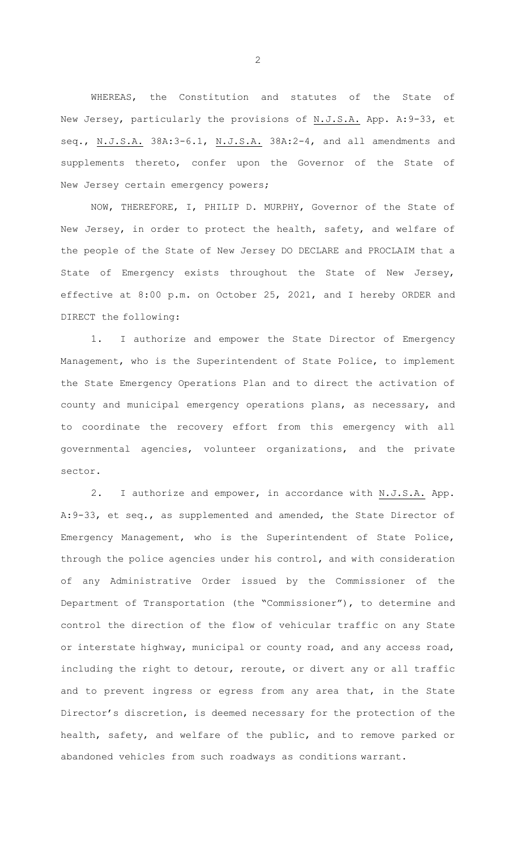WHEREAS, the Constitution and statutes of the State of New Jersey, particularly the provisions of N.J.S.A. App. A:9-33, et seq., N.J.S.A. 38A:3-6.1, N.J.S.A. 38A:2-4, and all amendments and supplements thereto, confer upon the Governor of the State of New Jersey certain emergency powers;

NOW, THEREFORE, I, PHILIP D. MURPHY, Governor of the State of New Jersey, in order to protect the health, safety, and welfare of the people of the State of New Jersey DO DECLARE and PROCLAIM that a State of Emergency exists throughout the State of New Jersey, effective at 8:00 p.m. on October 25, 2021, and I hereby ORDER and DIRECT the following:

1. I authorize and empower the State Director of Emergency Management, who is the Superintendent of State Police, to implement the State Emergency Operations Plan and to direct the activation of county and municipal emergency operations plans, as necessary, and to coordinate the recovery effort from this emergency with all governmental agencies, volunteer organizations, and the private sector.

2. I authorize and empower, in accordance with N.J.S.A. App. A:9-33, et seq., as supplemented and amended, the State Director of Emergency Management, who is the Superintendent of State Police, through the police agencies under his control, and with consideration of any Administrative Order issued by the Commissioner of the Department of Transportation (the "Commissioner"), to determine and control the direction of the flow of vehicular traffic on any State or interstate highway, municipal or county road, and any access road, including the right to detour, reroute, or divert any or all traffic and to prevent ingress or egress from any area that, in the State Director's discretion, is deemed necessary for the protection of the health, safety, and welfare of the public, and to remove parked or abandoned vehicles from such roadways as conditions warrant.

2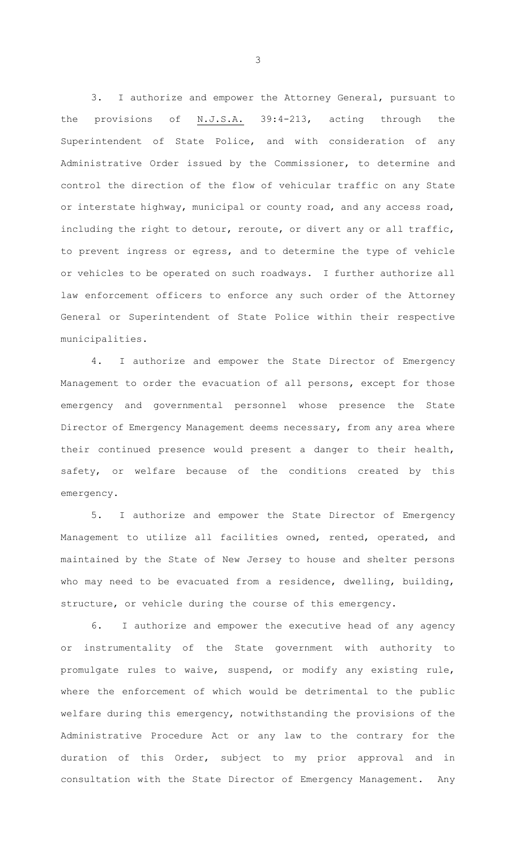3. I authorize and empower the Attorney General, pursuant to the provisions of N.J.S.A. 39:4-213, acting through the Superintendent of State Police, and with consideration of any Administrative Order issued by the Commissioner, to determine and control the direction of the flow of vehicular traffic on any State or interstate highway, municipal or county road, and any access road, including the right to detour, reroute, or divert any or all traffic, to prevent ingress or egress, and to determine the type of vehicle or vehicles to be operated on such roadways. I further authorize all law enforcement officers to enforce any such order of the Attorney General or Superintendent of State Police within their respective municipalities.

4. I authorize and empower the State Director of Emergency Management to order the evacuation of all persons, except for those emergency and governmental personnel whose presence the State Director of Emergency Management deems necessary, from any area where their continued presence would present a danger to their health, safety, or welfare because of the conditions created by this emergency.

5. I authorize and empower the State Director of Emergency Management to utilize all facilities owned, rented, operated, and maintained by the State of New Jersey to house and shelter persons who may need to be evacuated from a residence, dwelling, building, structure, or vehicle during the course of this emergency.

6. I authorize and empower the executive head of any agency or instrumentality of the State government with authority to promulgate rules to waive, suspend, or modify any existing rule, where the enforcement of which would be detrimental to the public welfare during this emergency, notwithstanding the provisions of the Administrative Procedure Act or any law to the contrary for the duration of this Order, subject to my prior approval and in consultation with the State Director of Emergency Management. Any

3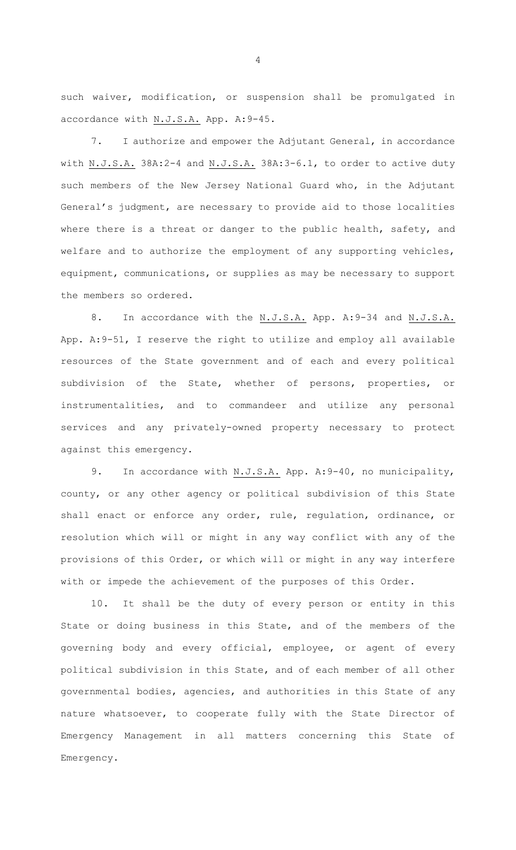such waiver, modification, or suspension shall be promulgated in accordance with N.J.S.A. App. A:9-45.

7. I authorize and empower the Adjutant General, in accordance with N.J.S.A. 38A:2-4 and N.J.S.A. 38A:3-6.1, to order to active duty such members of the New Jersey National Guard who, in the Adjutant General's judgment, are necessary to provide aid to those localities where there is a threat or danger to the public health, safety, and welfare and to authorize the employment of any supporting vehicles, equipment, communications, or supplies as may be necessary to support the members so ordered.

8. In accordance with the N.J.S.A. App. A:9-34 and N.J.S.A. App. A:9-51, I reserve the right to utilize and employ all available resources of the State government and of each and every political subdivision of the State, whether of persons, properties, or instrumentalities, and to commandeer and utilize any personal services and any privately-owned property necessary to protect against this emergency.

9. In accordance with N.J.S.A. App. A: 9-40, no municipality, county, or any other agency or political subdivision of this State shall enact or enforce any order, rule, regulation, ordinance, or resolution which will or might in any way conflict with any of the provisions of this Order, or which will or might in any way interfere with or impede the achievement of the purposes of this Order.

10. It shall be the duty of every person or entity in this State or doing business in this State, and of the members of the governing body and every official, employee, or agent of every political subdivision in this State, and of each member of all other governmental bodies, agencies, and authorities in this State of any nature whatsoever, to cooperate fully with the State Director of Emergency Management in all matters concerning this State of Emergency.

4